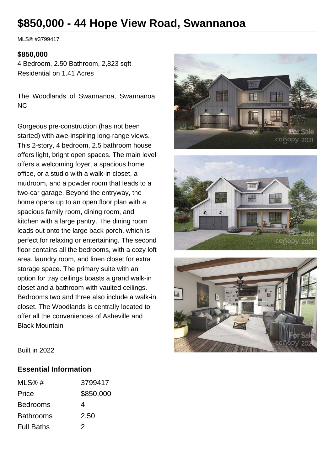# **\$850,000 - 44 Hope View Road, Swannanoa**

MLS® #3799417

#### **\$850,000**

4 Bedroom, 2.50 Bathroom, 2,823 sqft Residential on 1.41 Acres

The Woodlands of Swannanoa, Swannanoa, NC

Gorgeous pre-construction (has not been started) with awe-inspiring long-range views. This 2-story, 4 bedroom, 2.5 bathroom house offers light, bright open spaces. The main level offers a welcoming foyer, a spacious home office, or a studio with a walk-in closet, a mudroom, and a powder room that leads to a two-car garage. Beyond the entryway, the home opens up to an open floor plan with a spacious family room, dining room, and kitchen with a large pantry. The dining room leads out onto the large back porch, which is perfect for relaxing or entertaining. The second floor contains all the bedrooms, with a cozy loft area, laundry room, and linen closet for extra storage space. The primary suite with an option for tray ceilings boasts a grand walk-in closet and a bathroom with vaulted ceilings. Bedrooms two and three also include a walk-in closet. The Woodlands is centrally located to offer all the conveniences of Asheville and Black Mountain







Built in 2022

#### **Essential Information**

| MLS@#             | 3799417   |
|-------------------|-----------|
| Price             | \$850,000 |
| <b>Bedrooms</b>   | 4         |
| <b>Bathrooms</b>  | 2.50      |
| <b>Full Baths</b> | 2         |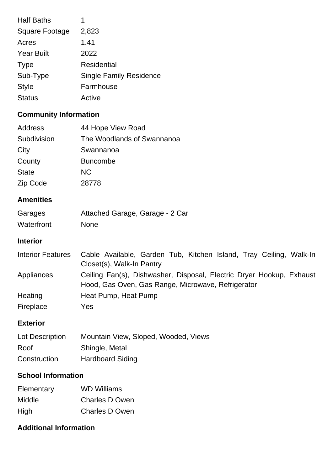| 1                              |
|--------------------------------|
| 2,823                          |
| 1.41                           |
| 2022                           |
| <b>Residential</b>             |
| <b>Single Family Residence</b> |
| Farmhouse                      |
| Active                         |
|                                |

# **Community Information**

| Address      | 44 Hope View Road          |
|--------------|----------------------------|
| Subdivision  | The Woodlands of Swannanoa |
| City         | Swannanoa                  |
| County       | <b>Buncombe</b>            |
| <b>State</b> | <b>NC</b>                  |
| Zip Code     | 28778                      |

## **Amenities**

| Garages    | Attached Garage, Garage - 2 Car |
|------------|---------------------------------|
| Waterfront | <b>None</b>                     |

#### **Interior**

| Interior Features | Cable Available, Garden Tub, Kitchen Island, Tray Ceiling, Walk-In                                                         |
|-------------------|----------------------------------------------------------------------------------------------------------------------------|
|                   | Closet(s), Walk-In Pantry                                                                                                  |
| Appliances        | Ceiling Fan(s), Dishwasher, Disposal, Electric Dryer Hookup, Exhaust<br>Hood, Gas Oven, Gas Range, Microwave, Refrigerator |
| Heating           | Heat Pump, Heat Pump                                                                                                       |
| Fireplace         | Yes                                                                                                                        |

## **Exterior**

| Lot Description | Mountain View, Sloped, Wooded, Views |
|-----------------|--------------------------------------|
| Roof            | Shingle, Metal                       |
| Construction    | <b>Hardboard Siding</b>              |

#### **School Information**

| Elementary | <b>WD Williams</b>    |
|------------|-----------------------|
| Middle     | <b>Charles D Owen</b> |
| High       | <b>Charles D Owen</b> |

## **Additional Information**